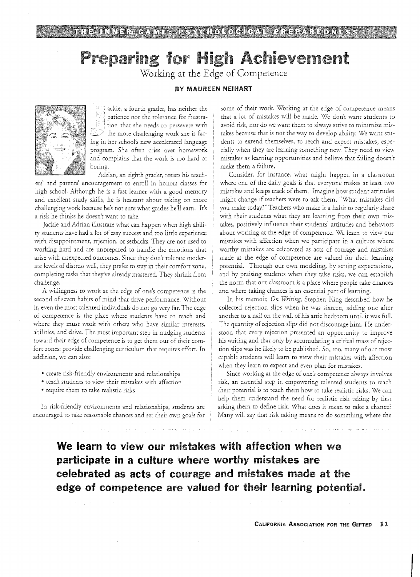# Preparing for High Achievement

Working at the Edge of Competence

## BY MAUREEN NEIHART



ackie, a fourth grader, has neither the patience nor the tolerance for frustra-[2년 tion thar she needs to persevere with  $\mathbb Z^2$  the more challenging work she is facing in her school's new accelerated language program. She often cries over homework and complains that the work is too hard or boring.

Adrian, an eighth grader, resists his teach- :

ers' and parents' encouragement to enroll in honors classes for high school. Although he is a fast learner with a good memory and excellent study skills, he is hesitant about taking on more challenging work because he's not sure what grades he'll earn. It's a risk he thinks he doesn't want ro take.

Jackie and Adrian illustrate what can happen when high ability students have had a lot of easy success and too little experience with disappointment, rejection, or setbacks. They are not used to working hard and are unprepared to handle the emotions that arise with unexpected outcomes. Since they don't tolerate moderate levels of distress well, they prefer to stay in their comfort zone, completing tasks that they've already mastered. They shrink from challenge.

A willingness to work at the edge of one's competence is the ' second of seven habits of mind that drive performance. Without it, even the most talented individuals do not go very far. The of competence is the place where students have to reach and where they must work with others who have similar interests, abilities, and drive. The most importanr step in nudging students toward their edge of competence is to get them out of their comfort zones: provide challenging curriculum that requires effort. In addition, we can also:

- create risk-friendiy environments and relationships
- teach students to view their mistakes with affection
- require them to take realistic risks

In risk-friendly environments and relationships, students are encouraged to take reasonable chances and set their own goals for *some* of their work. Working at the edge of competence means that a lot of mistakes will be made. We don't wanr students to avoid risk, nor do we want them to always strive to minimize mistakes because that is not the way to develop ability. We want students to extend themselves, to reach and expect mistakes, especially when they are learning something new. They need to view mistakes as learning opportunities and believe that failing doesn't make them a failure.

Consider, for instance, what might happen in a classroom where one of the daily goals is that everyone makes at least two mistakes and keeps track of them. Imagine how student attitudes might change if teachers were to ask them, "What mistakes did you make today?" Teachers who make it a habit to regularly share with their students what they are learning from their own mistakes, positively influence their students' attitudes and behaviors about working at the edge of competence. We learn to view our mistakes with affection when we participate in a culture where worthy mistakes are celebrated as acts of courage and mistakes made at the edge of competence are valued for their learning potential. Through our own modeling, by setting expectations, and by praising students when they take risks, we can establish the norm that our classroom is a place where people take chances and where taking chances is an essential part of learning.

In his memoir, *On Writing*, Stephen King described how he collected rejection slips when he was sixteen, adding one after another to a nail on the wall of his attic bedroom until it was full. The quantity of rejection slips did not discourage him. He understood that every rejection presented an opporrunity to improve his writing and that only by accumulating a critical mass of rejection slips was he likely to be published. So, too, many of our most capable students will learn to view their mistakes with affection when they learn to expect and even plan for mistakes,

Since working at the edge of one's competence always involves risk, an essential step *in* empowering talented students to reach their porenrial *is* to teach them how to take realistic risks. We can help them understand the need for realistic risk taking by first asking them to define risk. What does it mean to take a chance? Many will say that risk taking means to do something where the

**We learn to** view our mistakes with affection when we **participate in a** culture;where worthy mistakes are **celebrated** as acts of courage and mistakes made at the edge of competence are valued for their learning potential.